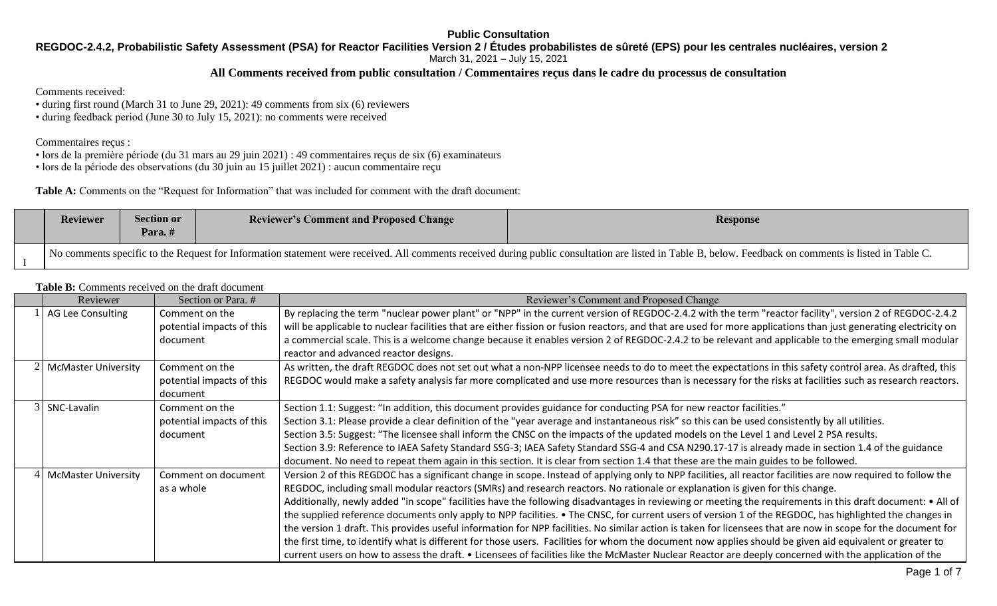# **REGDOC-2.4.2, Probabilistic Safety Assessment (PSA) for Reactor Facilities Version 2 / Études probabilistes de sûreté (EPS) pour les centrales nucléaires, version 2**

March 31, 2021 – July 15, 2021

# **All Comments received from public consultation / Commentaires reçus dans le cadre du processus de consultation**

### Comments received:

- during first round (March 31 to June 29, 2021): 49 comments from six (6) reviewers
- during feedback period (June 30 to July 15, 2021): no comments were received

### Commentaires reçus :

- lors de la première période (du 31 mars au 29 juin 2021) : 49 commentaires reçus de six (6) examinateurs
- lors de la période des observations (du 30 juin au 15 juillet 2021) : aucun commentaire reçu

**Table A:** Comments on the "Request for Information" that was included for comment with the draft document:

| <b>Reviewer</b> | <b>Section or</b><br>Para.# | <b>Reviewer's Comment and Proposed Change</b> | <b>Response</b>                                                                                                                                                                                        |
|-----------------|-----------------------------|-----------------------------------------------|--------------------------------------------------------------------------------------------------------------------------------------------------------------------------------------------------------|
|                 |                             |                                               | No comments specific to the Request for Information statement were received. All comments received during public consultation are listed in Table B, below. Feedback on comments is listed in Table C. |

#### **Table B:** Comments received on the draft document

|                                                                                  | Reviewer              | Section or Para. #                                                                                                                                                                                                                                                                                                   | Reviewer's Comment and Proposed Change                                                                                                                                                                                                                                                                                                                                                                                                                                                                                                                                                                                                                                                                                                                                                                                                                                                                                                                                                                                                                                                                        |  |  |
|----------------------------------------------------------------------------------|-----------------------|----------------------------------------------------------------------------------------------------------------------------------------------------------------------------------------------------------------------------------------------------------------------------------------------------------------------|---------------------------------------------------------------------------------------------------------------------------------------------------------------------------------------------------------------------------------------------------------------------------------------------------------------------------------------------------------------------------------------------------------------------------------------------------------------------------------------------------------------------------------------------------------------------------------------------------------------------------------------------------------------------------------------------------------------------------------------------------------------------------------------------------------------------------------------------------------------------------------------------------------------------------------------------------------------------------------------------------------------------------------------------------------------------------------------------------------------|--|--|
|                                                                                  | AG Lee Consulting     | Comment on the<br>potential impacts of this<br>document                                                                                                                                                                                                                                                              | By replacing the term "nuclear power plant" or "NPP" in the current version of REGDOC-2.4.2 with the term "reactor facility", version 2 of REGDOC-2.4.2<br>will be applicable to nuclear facilities that are either fission or fusion reactors, and that are used for more applications than just generating electricity on<br>a commercial scale. This is a welcome change because it enables version 2 of REGDOC-2.4.2 to be relevant and applicable to the emerging small modular<br>reactor and advanced reactor designs.                                                                                                                                                                                                                                                                                                                                                                                                                                                                                                                                                                                 |  |  |
| 2 McMaster University<br>Comment on the<br>potential impacts of this<br>document |                       | As written, the draft REGDOC does not set out what a non-NPP licensee needs to do to meet the expectations in this safety control area. As drafted, this<br>REGDOC would make a safety analysis far more complicated and use more resources than is necessary for the risks at facilities such as research reactors. |                                                                                                                                                                                                                                                                                                                                                                                                                                                                                                                                                                                                                                                                                                                                                                                                                                                                                                                                                                                                                                                                                                               |  |  |
|                                                                                  | 3 SNC-Lavalin         | Comment on the<br>potential impacts of this<br>document                                                                                                                                                                                                                                                              | Section 1.1: Suggest: "In addition, this document provides guidance for conducting PSA for new reactor facilities."<br>Section 3.1: Please provide a clear definition of the "year average and instantaneous risk" so this can be used consistently by all utilities.<br>Section 3.5: Suggest: "The licensee shall inform the CNSC on the impacts of the updated models on the Level 1 and Level 2 PSA results.<br>Section 3.9: Reference to IAEA Safety Standard SSG-3; IAEA Safety Standard SSG-4 and CSA N290.17-17 is already made in section 1.4 of the guidance<br>document. No need to repeat them again in this section. It is clear from section 1.4 that these are the main guides to be followed.                                                                                                                                                                                                                                                                                                                                                                                                  |  |  |
|                                                                                  | 4 McMaster University | Comment on document<br>as a whole                                                                                                                                                                                                                                                                                    | Version 2 of this REGDOC has a significant change in scope. Instead of applying only to NPP facilities, all reactor facilities are now required to follow the<br>REGDOC, including small modular reactors (SMRs) and research reactors. No rationale or explanation is given for this change.<br>Additionally, newly added "in scope" facilities have the following disadvantages in reviewing or meeting the requirements in this draft document: • All of<br>the supplied reference documents only apply to NPP facilities. • The CNSC, for current users of version 1 of the REGDOC, has highlighted the changes in<br>the version 1 draft. This provides useful information for NPP facilities. No similar action is taken for licensees that are now in scope for the document for<br>the first time, to identify what is different for those users. Facilities for whom the document now applies should be given aid equivalent or greater to<br>current users on how to assess the draft. • Licensees of facilities like the McMaster Nuclear Reactor are deeply concerned with the application of the |  |  |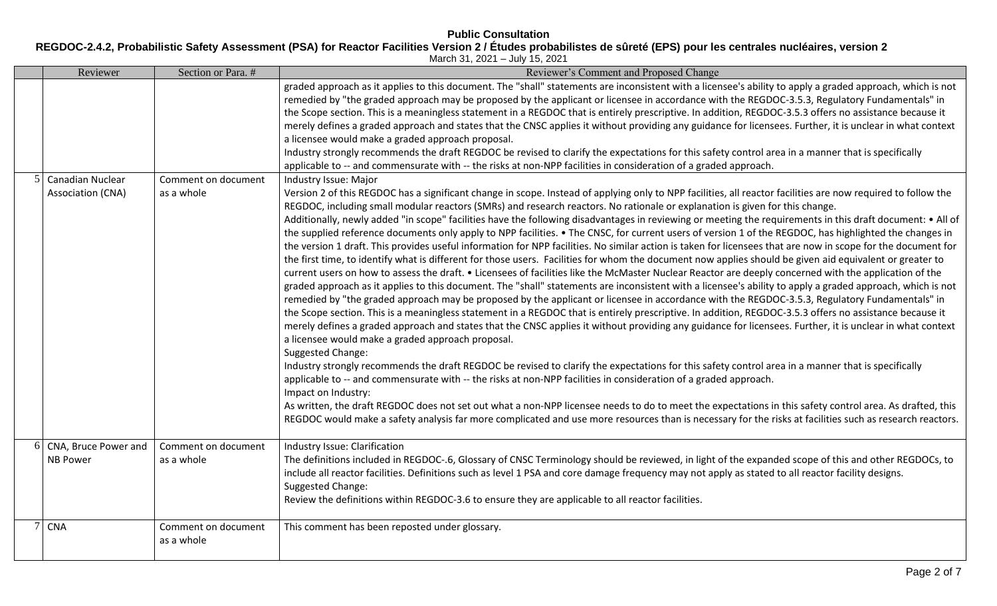# **REGDOC-2.4.2, Probabilistic Safety Assessment (PSA) for Reactor Facilities Version 2 / Études probabilistes de sûreté (EPS) pour les centrales nucléaires, version 2**

March 31, 2021 – July 15, 2021

|   | Reviewer                                | Section or Para. #                | Reviewer's Comment and Proposed Change                                                                                                                                                                                                                                                                                                                                                                                                                                                                                                                                                                                                                                                                                                                                                                                                                                                                                                                                                                                                                                                                                                                                                                                                                                                                                                                                                                                                                                                                                                                                                                                                                                                                                                                                                                                                                                                                                                                                                                                                                                                                                                                                                                                                                                                                                                                                                                                                                                                                                                                                                                                                                                                                                                                                                                                                                                                                                                                                                                                                                                                                                                                                                                                                                                                                                                                                                                                                                   |
|---|-----------------------------------------|-----------------------------------|----------------------------------------------------------------------------------------------------------------------------------------------------------------------------------------------------------------------------------------------------------------------------------------------------------------------------------------------------------------------------------------------------------------------------------------------------------------------------------------------------------------------------------------------------------------------------------------------------------------------------------------------------------------------------------------------------------------------------------------------------------------------------------------------------------------------------------------------------------------------------------------------------------------------------------------------------------------------------------------------------------------------------------------------------------------------------------------------------------------------------------------------------------------------------------------------------------------------------------------------------------------------------------------------------------------------------------------------------------------------------------------------------------------------------------------------------------------------------------------------------------------------------------------------------------------------------------------------------------------------------------------------------------------------------------------------------------------------------------------------------------------------------------------------------------------------------------------------------------------------------------------------------------------------------------------------------------------------------------------------------------------------------------------------------------------------------------------------------------------------------------------------------------------------------------------------------------------------------------------------------------------------------------------------------------------------------------------------------------------------------------------------------------------------------------------------------------------------------------------------------------------------------------------------------------------------------------------------------------------------------------------------------------------------------------------------------------------------------------------------------------------------------------------------------------------------------------------------------------------------------------------------------------------------------------------------------------------------------------------------------------------------------------------------------------------------------------------------------------------------------------------------------------------------------------------------------------------------------------------------------------------------------------------------------------------------------------------------------------------------------------------------------------------------------------------------------------|
|   | Canadian Nuclear<br>Association (CNA)   | Comment on document<br>as a whole | graded approach as it applies to this document. The "shall" statements are inconsistent with a licensee's ability to apply a graded approach, which is not<br>remedied by "the graded approach may be proposed by the applicant or licensee in accordance with the REGDOC-3.5.3, Regulatory Fundamentals" in<br>the Scope section. This is a meaningless statement in a REGDOC that is entirely prescriptive. In addition, REGDOC-3.5.3 offers no assistance because it<br>merely defines a graded approach and states that the CNSC applies it without providing any guidance for licensees. Further, it is unclear in what context<br>a licensee would make a graded approach proposal.<br>Industry strongly recommends the draft REGDOC be revised to clarify the expectations for this safety control area in a manner that is specifically<br>applicable to -- and commensurate with -- the risks at non-NPP facilities in consideration of a graded approach.<br>Industry Issue: Major<br>Version 2 of this REGDOC has a significant change in scope. Instead of applying only to NPP facilities, all reactor facilities are now required to follow the<br>REGDOC, including small modular reactors (SMRs) and research reactors. No rationale or explanation is given for this change.<br>Additionally, newly added "in scope" facilities have the following disadvantages in reviewing or meeting the requirements in this draft document: • All of<br>the supplied reference documents only apply to NPP facilities. • The CNSC, for current users of version 1 of the REGDOC, has highlighted the changes in<br>the version 1 draft. This provides useful information for NPP facilities. No similar action is taken for licensees that are now in scope for the document for<br>the first time, to identify what is different for those users. Facilities for whom the document now applies should be given aid equivalent or greater to<br>current users on how to assess the draft. • Licensees of facilities like the McMaster Nuclear Reactor are deeply concerned with the application of the<br>graded approach as it applies to this document. The "shall" statements are inconsistent with a licensee's ability to apply a graded approach, which is not<br>remedied by "the graded approach may be proposed by the applicant or licensee in accordance with the REGDOC-3.5.3, Regulatory Fundamentals" in<br>the Scope section. This is a meaningless statement in a REGDOC that is entirely prescriptive. In addition, REGDOC-3.5.3 offers no assistance because it<br>merely defines a graded approach and states that the CNSC applies it without providing any guidance for licensees. Further, it is unclear in what context<br>a licensee would make a graded approach proposal.<br>Suggested Change:<br>Industry strongly recommends the draft REGDOC be revised to clarify the expectations for this safety control area in a manner that is specifically<br>applicable to -- and commensurate with -- the risks at non-NPP facilities in consideration of a graded approach.<br>Impact on Industry:<br>As written, the draft REGDOC does not set out what a non-NPP licensee needs to do to meet the expectations in this safety control area. As drafted, this<br>REGDOC would make a safety analysis far more complicated and use more resources than is necessary for the risks at facilities such as research reactors. |
| 6 | CNA, Bruce Power and<br><b>NB Power</b> | Comment on document<br>as a whole | Industry Issue: Clarification<br>The definitions included in REGDOC-.6, Glossary of CNSC Terminology should be reviewed, in light of the expanded scope of this and other REGDOCs, to<br>include all reactor facilities. Definitions such as level 1 PSA and core damage frequency may not apply as stated to all reactor facility designs.<br>Suggested Change:<br>Review the definitions within REGDOC-3.6 to ensure they are applicable to all reactor facilities.                                                                                                                                                                                                                                                                                                                                                                                                                                                                                                                                                                                                                                                                                                                                                                                                                                                                                                                                                                                                                                                                                                                                                                                                                                                                                                                                                                                                                                                                                                                                                                                                                                                                                                                                                                                                                                                                                                                                                                                                                                                                                                                                                                                                                                                                                                                                                                                                                                                                                                                                                                                                                                                                                                                                                                                                                                                                                                                                                                                    |
|   | <b>CNA</b>                              | Comment on document<br>as a whole | This comment has been reposted under glossary.                                                                                                                                                                                                                                                                                                                                                                                                                                                                                                                                                                                                                                                                                                                                                                                                                                                                                                                                                                                                                                                                                                                                                                                                                                                                                                                                                                                                                                                                                                                                                                                                                                                                                                                                                                                                                                                                                                                                                                                                                                                                                                                                                                                                                                                                                                                                                                                                                                                                                                                                                                                                                                                                                                                                                                                                                                                                                                                                                                                                                                                                                                                                                                                                                                                                                                                                                                                                           |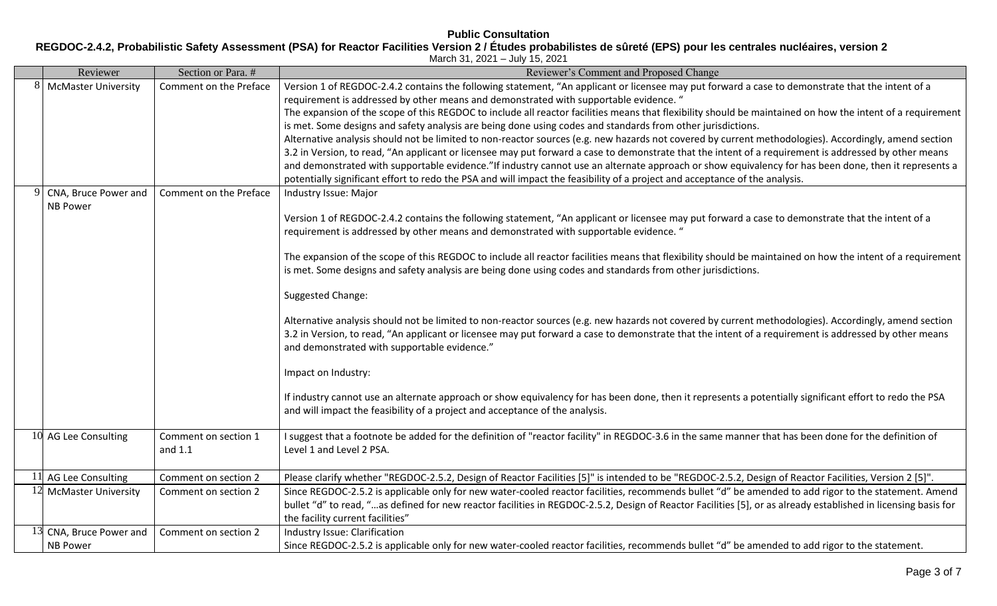**REGDOC-2.4.2, Probabilistic Safety Assessment (PSA) for Reactor Facilities Version 2 / Études probabilistes de sûreté (EPS) pour les centrales nucléaires, version 2**

|                                                                          | March 31, 2021 - July 15, 2021 |                        |                                                                                                                                                                |  |  |  |  |
|--------------------------------------------------------------------------|--------------------------------|------------------------|----------------------------------------------------------------------------------------------------------------------------------------------------------------|--|--|--|--|
| Reviewer's Comment and Proposed Change<br>Reviewer<br>Section or Para. # |                                |                        |                                                                                                                                                                |  |  |  |  |
| 8                                                                        | <b>McMaster University</b>     | Comment on the Preface | Version 1 of REGDOC-2.4.2 contains the following statement, "An applicant or licensee may put forward a case to demonstrate that the intent of a               |  |  |  |  |
|                                                                          |                                |                        | requirement is addressed by other means and demonstrated with supportable evidence. "                                                                          |  |  |  |  |
|                                                                          |                                |                        | The expansion of the scope of this REGDOC to include all reactor facilities means that flexibility should be maintained on how the intent of a requirement     |  |  |  |  |
|                                                                          |                                |                        | is met. Some designs and safety analysis are being done using codes and standards from other jurisdictions.                                                    |  |  |  |  |
|                                                                          |                                |                        | Alternative analysis should not be limited to non-reactor sources (e.g. new hazards not covered by current methodologies). Accordingly, amend section          |  |  |  |  |
|                                                                          |                                |                        | 3.2 in Version, to read, "An applicant or licensee may put forward a case to demonstrate that the intent of a requirement is addressed by other means          |  |  |  |  |
|                                                                          |                                |                        | and demonstrated with supportable evidence."If industry cannot use an alternate approach or show equivalency for has been done, then it represents a           |  |  |  |  |
|                                                                          |                                |                        | potentially significant effort to redo the PSA and will impact the feasibility of a project and acceptance of the analysis.                                    |  |  |  |  |
|                                                                          | CNA, Bruce Power and           | Comment on the Preface | Industry Issue: Major                                                                                                                                          |  |  |  |  |
|                                                                          | <b>NB Power</b>                |                        |                                                                                                                                                                |  |  |  |  |
|                                                                          |                                |                        | Version 1 of REGDOC-2.4.2 contains the following statement, "An applicant or licensee may put forward a case to demonstrate that the intent of a               |  |  |  |  |
|                                                                          |                                |                        | requirement is addressed by other means and demonstrated with supportable evidence. "                                                                          |  |  |  |  |
|                                                                          |                                |                        |                                                                                                                                                                |  |  |  |  |
|                                                                          |                                |                        | The expansion of the scope of this REGDOC to include all reactor facilities means that flexibility should be maintained on how the intent of a requirement     |  |  |  |  |
|                                                                          |                                |                        | is met. Some designs and safety analysis are being done using codes and standards from other jurisdictions.                                                    |  |  |  |  |
|                                                                          |                                |                        | Suggested Change:                                                                                                                                              |  |  |  |  |
|                                                                          |                                |                        |                                                                                                                                                                |  |  |  |  |
|                                                                          |                                |                        | Alternative analysis should not be limited to non-reactor sources (e.g. new hazards not covered by current methodologies). Accordingly, amend section          |  |  |  |  |
|                                                                          |                                |                        | 3.2 in Version, to read, "An applicant or licensee may put forward a case to demonstrate that the intent of a requirement is addressed by other means          |  |  |  |  |
|                                                                          |                                |                        | and demonstrated with supportable evidence."                                                                                                                   |  |  |  |  |
|                                                                          |                                |                        | Impact on Industry:                                                                                                                                            |  |  |  |  |
|                                                                          |                                |                        |                                                                                                                                                                |  |  |  |  |
|                                                                          |                                |                        | If industry cannot use an alternate approach or show equivalency for has been done, then it represents a potentially significant effort to redo the PSA        |  |  |  |  |
|                                                                          |                                |                        | and will impact the feasibility of a project and acceptance of the analysis.                                                                                   |  |  |  |  |
|                                                                          |                                |                        |                                                                                                                                                                |  |  |  |  |
|                                                                          | 10 AG Lee Consulting           | Comment on section 1   | I suggest that a footnote be added for the definition of "reactor facility" in REGDOC-3.6 in the same manner that has been done for the definition of          |  |  |  |  |
|                                                                          |                                | and $1.1$              | Level 1 and Level 2 PSA.                                                                                                                                       |  |  |  |  |
|                                                                          | 11 AG Lee Consulting           | Comment on section 2   | Please clarify whether "REGDOC-2.5.2, Design of Reactor Facilities [5]" is intended to be "REGDOC-2.5.2, Design of Reactor Facilities, Version 2 [5]".         |  |  |  |  |
|                                                                          | 12 McMaster University         | Comment on section 2   | Since REGDOC-2.5.2 is applicable only for new water-cooled reactor facilities, recommends bullet "d" be amended to add rigor to the statement. Amend           |  |  |  |  |
|                                                                          |                                |                        | bullet "d" to read, "as defined for new reactor facilities in REGDOC-2.5.2, Design of Reactor Facilities [5], or as already established in licensing basis for |  |  |  |  |
|                                                                          |                                |                        | the facility current facilities"                                                                                                                               |  |  |  |  |
|                                                                          | CNA, Bruce Power and           | Comment on section 2   | Industry Issue: Clarification                                                                                                                                  |  |  |  |  |
|                                                                          | <b>NB Power</b>                |                        | Since REGDOC-2.5.2 is applicable only for new water-cooled reactor facilities, recommends bullet "d" be amended to add rigor to the statement.                 |  |  |  |  |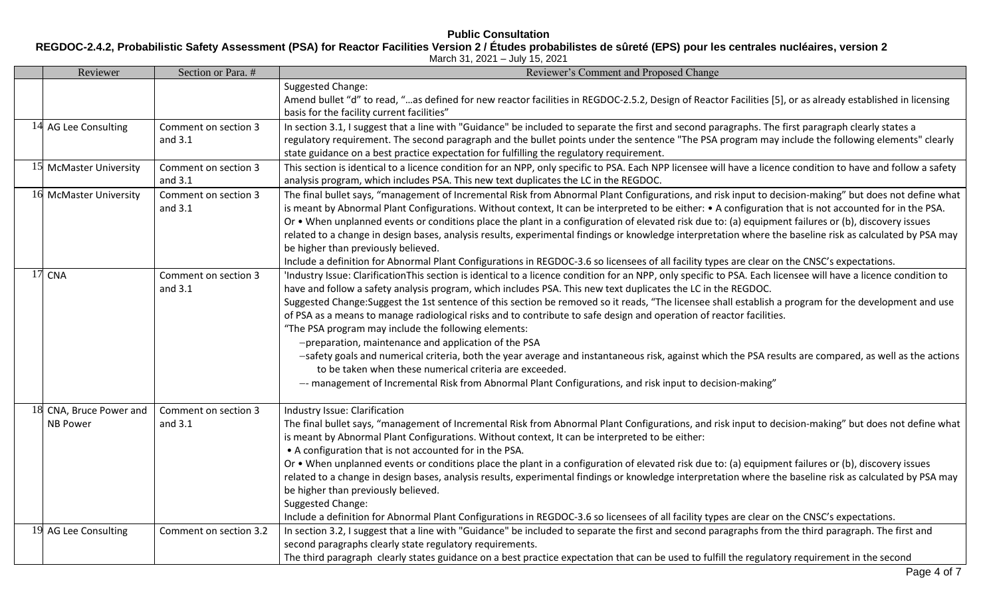# **Public Consultation REGDOC-2.4.2, Probabilistic Safety Assessment (PSA) for Reactor Facilities Version 2 / Études probabilistes de sûreté (EPS) pour les centrales nucléaires, version 2**

| March 31, 2021 - July 15, 2021 |  |  |  |  |
|--------------------------------|--|--|--|--|
|--------------------------------|--|--|--|--|

| Section or Para. #<br>Reviewer             |                                 | Reviewer's Comment and Proposed Change                                                                                                                                                                                                                                                                                                                                                                                                                                                                                                                                                                                                                                                                                                                                                                                                                                                                                                                                                                             |
|--------------------------------------------|---------------------------------|--------------------------------------------------------------------------------------------------------------------------------------------------------------------------------------------------------------------------------------------------------------------------------------------------------------------------------------------------------------------------------------------------------------------------------------------------------------------------------------------------------------------------------------------------------------------------------------------------------------------------------------------------------------------------------------------------------------------------------------------------------------------------------------------------------------------------------------------------------------------------------------------------------------------------------------------------------------------------------------------------------------------|
|                                            |                                 | Suggested Change:<br>Amend bullet "d" to read, "as defined for new reactor facilities in REGDOC-2.5.2, Design of Reactor Facilities [5], or as already established in licensing<br>basis for the facility current facilities"                                                                                                                                                                                                                                                                                                                                                                                                                                                                                                                                                                                                                                                                                                                                                                                      |
| 14 AG Lee Consulting                       | Comment on section 3<br>and 3.1 | In section 3.1, I suggest that a line with "Guidance" be included to separate the first and second paragraphs. The first paragraph clearly states a<br>regulatory requirement. The second paragraph and the bullet points under the sentence "The PSA program may include the following elements" clearly<br>state guidance on a best practice expectation for fulfilling the regulatory requirement.                                                                                                                                                                                                                                                                                                                                                                                                                                                                                                                                                                                                              |
| 15 McMaster University                     | Comment on section 3<br>and 3.1 | This section is identical to a licence condition for an NPP, only specific to PSA. Each NPP licensee will have a licence condition to have and follow a safety<br>analysis program, which includes PSA. This new text duplicates the LC in the REGDOC.                                                                                                                                                                                                                                                                                                                                                                                                                                                                                                                                                                                                                                                                                                                                                             |
| 16 McMaster University                     | Comment on section 3<br>and 3.1 | The final bullet says, "management of Incremental Risk from Abnormal Plant Configurations, and risk input to decision-making" but does not define what<br>is meant by Abnormal Plant Configurations. Without context, It can be interpreted to be either: • A configuration that is not accounted for in the PSA.<br>Or • When unplanned events or conditions place the plant in a configuration of elevated risk due to: (a) equipment failures or (b), discovery issues<br>related to a change in design bases, analysis results, experimental findings or knowledge interpretation where the baseline risk as calculated by PSA may<br>be higher than previously believed.<br>Include a definition for Abnormal Plant Configurations in REGDOC-3.6 so licensees of all facility types are clear on the CNSC's expectations.                                                                                                                                                                                     |
| $17$ CNA                                   | Comment on section 3<br>and 3.1 | 'Industry Issue: ClarificationThis section is identical to a licence condition for an NPP, only specific to PSA. Each licensee will have a licence condition to<br>have and follow a safety analysis program, which includes PSA. This new text duplicates the LC in the REGDOC.<br>Suggested Change:Suggest the 1st sentence of this section be removed so it reads, "The licensee shall establish a program for the development and use<br>of PSA as a means to manage radiological risks and to contribute to safe design and operation of reactor facilities.<br>"The PSA program may include the following elements:<br>-preparation, maintenance and application of the PSA<br>-safety goals and numerical criteria, both the year average and instantaneous risk, against which the PSA results are compared, as well as the actions<br>to be taken when these numerical criteria are exceeded.<br>-- management of Incremental Risk from Abnormal Plant Configurations, and risk input to decision-making" |
| 18 CNA, Bruce Power and<br><b>NB Power</b> | Comment on section 3<br>and 3.1 | Industry Issue: Clarification<br>The final bullet says, "management of Incremental Risk from Abnormal Plant Configurations, and risk input to decision-making" but does not define what<br>is meant by Abnormal Plant Configurations. Without context, It can be interpreted to be either:<br>• A configuration that is not accounted for in the PSA.<br>Or • When unplanned events or conditions place the plant in a configuration of elevated risk due to: (a) equipment failures or (b), discovery issues<br>related to a change in design bases, analysis results, experimental findings or knowledge interpretation where the baseline risk as calculated by PSA may<br>be higher than previously believed.<br>Suggested Change:<br>Include a definition for Abnormal Plant Configurations in REGDOC-3.6 so licensees of all facility types are clear on the CNSC's expectations.                                                                                                                            |
| 19 AG Lee Consulting                       | Comment on section 3.2          | In section 3.2, I suggest that a line with "Guidance" be included to separate the first and second paragraphs from the third paragraph. The first and<br>second paragraphs clearly state regulatory requirements.<br>The third paragraph clearly states guidance on a best practice expectation that can be used to fulfill the regulatory requirement in the second                                                                                                                                                                                                                                                                                                                                                                                                                                                                                                                                                                                                                                               |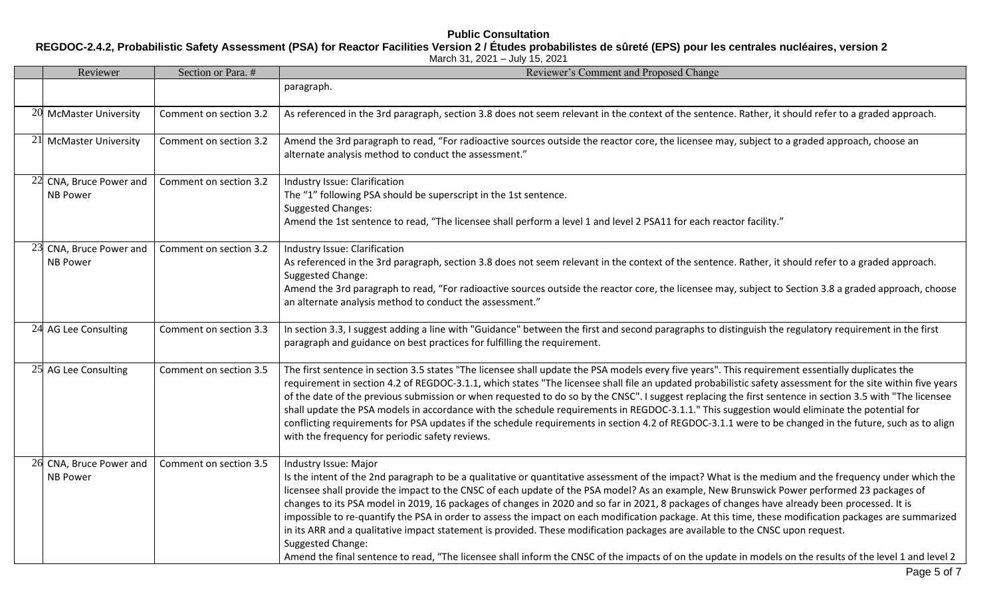# **Public Consultation REGDOC-2.4.2, Probabilistic Safety Assessment (PSA) for Reactor Facilities Version 2 / Études probabilistes de sûreté (EPS) pour les centrales nucléaires, version 2**

| Reviewer                                   | Section or Para. #     | Reviewer's Comment and Proposed Change                                                                                                                                                                                                                                                                                                                                                                                                                                                                                                                                                                                                                                                                                                                                                                                                                                                                                                                      |  |
|--------------------------------------------|------------------------|-------------------------------------------------------------------------------------------------------------------------------------------------------------------------------------------------------------------------------------------------------------------------------------------------------------------------------------------------------------------------------------------------------------------------------------------------------------------------------------------------------------------------------------------------------------------------------------------------------------------------------------------------------------------------------------------------------------------------------------------------------------------------------------------------------------------------------------------------------------------------------------------------------------------------------------------------------------|--|
|                                            |                        | paragraph.                                                                                                                                                                                                                                                                                                                                                                                                                                                                                                                                                                                                                                                                                                                                                                                                                                                                                                                                                  |  |
| 20 McMaster University                     | Comment on section 3.2 | As referenced in the 3rd paragraph, section 3.8 does not seem relevant in the context of the sentence. Rather, it should refer to a graded approach.                                                                                                                                                                                                                                                                                                                                                                                                                                                                                                                                                                                                                                                                                                                                                                                                        |  |
| 21 McMaster University                     | Comment on section 3.2 | Amend the 3rd paragraph to read, "For radioactive sources outside the reactor core, the licensee may, subject to a graded approach, choose an<br>alternate analysis method to conduct the assessment."                                                                                                                                                                                                                                                                                                                                                                                                                                                                                                                                                                                                                                                                                                                                                      |  |
| 22 CNA, Bruce Power and<br><b>NB Power</b> | Comment on section 3.2 | Industry Issue: Clarification<br>The "1" following PSA should be superscript in the 1st sentence.<br><b>Suggested Changes:</b><br>Amend the 1st sentence to read, "The licensee shall perform a level 1 and level 2 PSA11 for each reactor facility."                                                                                                                                                                                                                                                                                                                                                                                                                                                                                                                                                                                                                                                                                                       |  |
| 23 CNA, Bruce Power and<br><b>NB Power</b> | Comment on section 3.2 | Industry Issue: Clarification<br>As referenced in the 3rd paragraph, section 3.8 does not seem relevant in the context of the sentence. Rather, it should refer to a graded approach.<br>Suggested Change:<br>Amend the 3rd paragraph to read, "For radioactive sources outside the reactor core, the licensee may, subject to Section 3.8 a graded approach, choose<br>an alternate analysis method to conduct the assessment."                                                                                                                                                                                                                                                                                                                                                                                                                                                                                                                            |  |
| 24 AG Lee Consulting                       | Comment on section 3.3 | In section 3.3, I suggest adding a line with "Guidance" between the first and second paragraphs to distinguish the regulatory requirement in the first<br>paragraph and guidance on best practices for fulfilling the requirement.                                                                                                                                                                                                                                                                                                                                                                                                                                                                                                                                                                                                                                                                                                                          |  |
| 25 AG Lee Consulting                       | Comment on section 3.5 | The first sentence in section 3.5 states "The licensee shall update the PSA models every five years". This requirement essentially duplicates the<br>requirement in section 4.2 of REGDOC-3.1.1, which states "The licensee shall file an updated probabilistic safety assessment for the site within five years<br>of the date of the previous submission or when requested to do so by the CNSC". I suggest replacing the first sentence in section 3.5 with "The licensee<br>shall update the PSA models in accordance with the schedule requirements in REGDOC-3.1.1." This suggestion would eliminate the potential for<br>conflicting requirements for PSA updates if the schedule requirements in section 4.2 of REGDOC-3.1.1 were to be changed in the future, such as to align<br>with the frequency for periodic safety reviews.                                                                                                                  |  |
| 26 CNA, Bruce Power and<br><b>NB Power</b> | Comment on section 3.5 | Industry Issue: Major<br>Is the intent of the 2nd paragraph to be a qualitative or quantitative assessment of the impact? What is the medium and the frequency under which the<br>licensee shall provide the impact to the CNSC of each update of the PSA model? As an example, New Brunswick Power performed 23 packages of<br>changes to its PSA model in 2019, 16 packages of changes in 2020 and so far in 2021, 8 packages of changes have already been processed. It is<br>impossible to re-quantify the PSA in order to assess the impact on each modification package. At this time, these modification packages are summarized<br>in its ARR and a qualitative impact statement is provided. These modification packages are available to the CNSC upon request.<br>Suggested Change:<br>Amend the final sentence to read, "The licensee shall inform the CNSC of the impacts of on the update in models on the results of the level 1 and level 2 |  |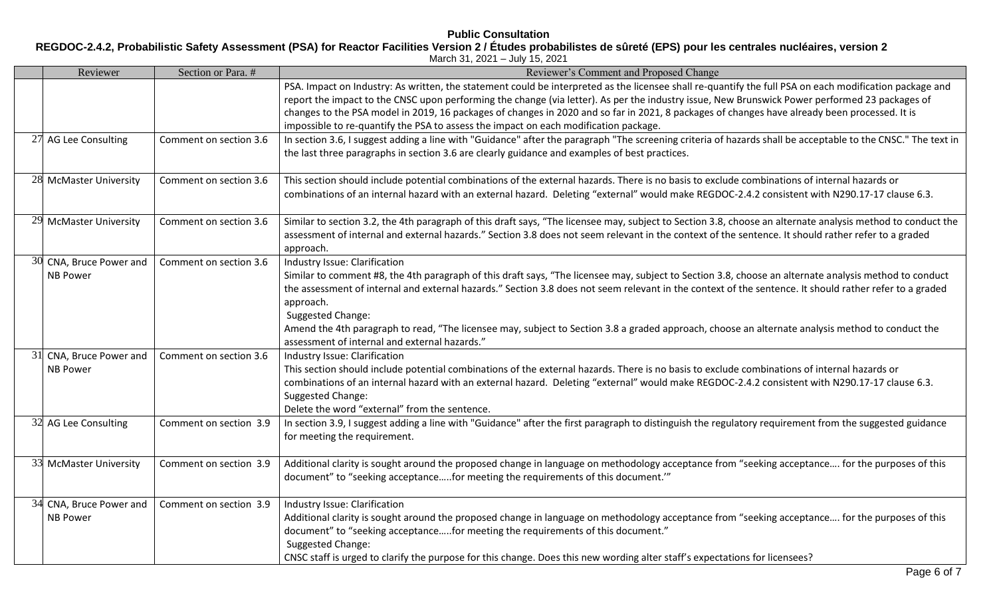**REGDOC-2.4.2, Probabilistic Safety Assessment (PSA) for Reactor Facilities Version 2 / Études probabilistes de sûreté (EPS) pour les centrales nucléaires, version 2**

| March 31, 2021 - July 15, 2021                                           |                        |                                                                                                                                                                                                                                                                                                                                                                                                                                                                                                                                                                                           |  |  |  |  |
|--------------------------------------------------------------------------|------------------------|-------------------------------------------------------------------------------------------------------------------------------------------------------------------------------------------------------------------------------------------------------------------------------------------------------------------------------------------------------------------------------------------------------------------------------------------------------------------------------------------------------------------------------------------------------------------------------------------|--|--|--|--|
| Reviewer<br>Section or Para. #<br>Reviewer's Comment and Proposed Change |                        |                                                                                                                                                                                                                                                                                                                                                                                                                                                                                                                                                                                           |  |  |  |  |
|                                                                          |                        | PSA. Impact on Industry: As written, the statement could be interpreted as the licensee shall re-quantify the full PSA on each modification package and<br>report the impact to the CNSC upon performing the change (via letter). As per the industry issue, New Brunswick Power performed 23 packages of<br>changes to the PSA model in 2019, 16 packages of changes in 2020 and so far in 2021, 8 packages of changes have already been processed. It is<br>impossible to re-quantify the PSA to assess the impact on each modification package.                                        |  |  |  |  |
| 27 AG Lee Consulting                                                     | Comment on section 3.6 | In section 3.6, I suggest adding a line with "Guidance" after the paragraph "The screening criteria of hazards shall be acceptable to the CNSC." The text in<br>the last three paragraphs in section 3.6 are clearly guidance and examples of best practices.                                                                                                                                                                                                                                                                                                                             |  |  |  |  |
| 28 McMaster University                                                   | Comment on section 3.6 | This section should include potential combinations of the external hazards. There is no basis to exclude combinations of internal hazards or<br>combinations of an internal hazard with an external hazard. Deleting "external" would make REGDOC-2.4.2 consistent with N290.17-17 clause 6.3.                                                                                                                                                                                                                                                                                            |  |  |  |  |
| 29 McMaster University                                                   | Comment on section 3.6 | Similar to section 3.2, the 4th paragraph of this draft says, "The licensee may, subject to Section 3.8, choose an alternate analysis method to conduct the<br>assessment of internal and external hazards." Section 3.8 does not seem relevant in the context of the sentence. It should rather refer to a graded<br>approach.                                                                                                                                                                                                                                                           |  |  |  |  |
| 30 CNA, Bruce Power and<br><b>NB Power</b>                               | Comment on section 3.6 | Industry Issue: Clarification<br>Similar to comment #8, the 4th paragraph of this draft says, "The licensee may, subject to Section 3.8, choose an alternate analysis method to conduct<br>the assessment of internal and external hazards." Section 3.8 does not seem relevant in the context of the sentence. It should rather refer to a graded<br>approach.<br>Suggested Change:<br>Amend the 4th paragraph to read, "The licensee may, subject to Section 3.8 a graded approach, choose an alternate analysis method to conduct the<br>assessment of internal and external hazards." |  |  |  |  |
| 31 CNA, Bruce Power and<br><b>NB Power</b>                               | Comment on section 3.6 | Industry Issue: Clarification<br>This section should include potential combinations of the external hazards. There is no basis to exclude combinations of internal hazards or<br>combinations of an internal hazard with an external hazard. Deleting "external" would make REGDOC-2.4.2 consistent with N290.17-17 clause 6.3.<br>Suggested Change:<br>Delete the word "external" from the sentence.                                                                                                                                                                                     |  |  |  |  |
| 32 AG Lee Consulting                                                     | Comment on section 3.9 | In section 3.9, I suggest adding a line with "Guidance" after the first paragraph to distinguish the regulatory requirement from the suggested guidance<br>for meeting the requirement.                                                                                                                                                                                                                                                                                                                                                                                                   |  |  |  |  |
| 33 McMaster University                                                   | Comment on section 3.9 | Additional clarity is sought around the proposed change in language on methodology acceptance from "seeking acceptance for the purposes of this<br>document" to "seeking acceptancefor meeting the requirements of this document.""                                                                                                                                                                                                                                                                                                                                                       |  |  |  |  |
| 34 CNA, Bruce Power and<br><b>NB Power</b>                               | Comment on section 3.9 | Industry Issue: Clarification<br>Additional clarity is sought around the proposed change in language on methodology acceptance from "seeking acceptance for the purposes of this<br>document" to "seeking acceptancefor meeting the requirements of this document."<br>Suggested Change:<br>CNSC staff is urged to clarify the purpose for this change. Does this new wording alter staff's expectations for licensees?                                                                                                                                                                   |  |  |  |  |